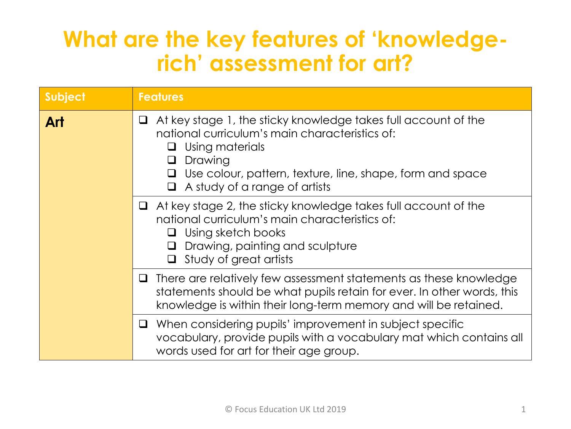## **What are the key features of 'knowledgerich' assessment for art?**

| <b>Subject</b> | <b>Features</b>                                                                                                                                                                                                                                                                      |  |
|----------------|--------------------------------------------------------------------------------------------------------------------------------------------------------------------------------------------------------------------------------------------------------------------------------------|--|
| Art            | At key stage 1, the sticky knowledge takes full account of the<br>⊔<br>national curriculum's main characteristics of:<br>Using materials<br>$\Box$<br>Drawing<br>$\Box$<br>Use colour, pattern, texture, line, shape, form and space<br>$\Box$<br>A study of a range of artists<br>0 |  |
|                | $\Box$ At key stage 2, the sticky knowledge takes full account of the<br>national curriculum's main characteristics of:<br>Using sketch books<br>$\Box$<br>Drawing, painting and sculpture<br>$\Box$<br>Study of great artists<br>Q.                                                 |  |
|                | $\Box$ There are relatively few assessment statements as these knowledge<br>statements should be what pupils retain for ever. In other words, this<br>knowledge is within their long-term memory and will be retained.                                                               |  |
|                | $\Box$ When considering pupils' improvement in subject specific<br>vocabulary, provide pupils with a vocabulary mat which contains all<br>words used for art for their age group.                                                                                                    |  |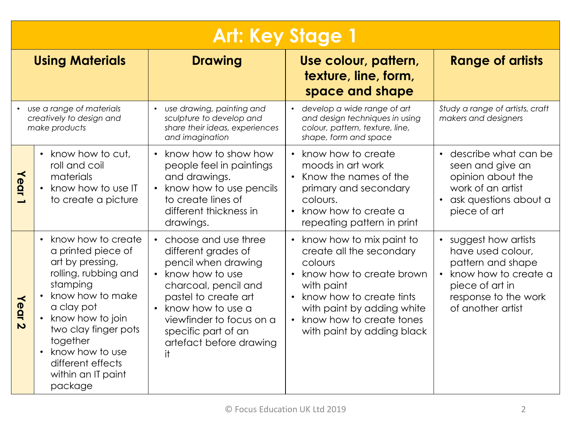| <b>Art: Key Stage 1</b> |                                                                                                                                                                                                                                                                                                                         |                                                                                                                                                                                                                                                             |                                                                                                                                                                                                                                                           |                                                                                                                                                                                 |
|-------------------------|-------------------------------------------------------------------------------------------------------------------------------------------------------------------------------------------------------------------------------------------------------------------------------------------------------------------------|-------------------------------------------------------------------------------------------------------------------------------------------------------------------------------------------------------------------------------------------------------------|-----------------------------------------------------------------------------------------------------------------------------------------------------------------------------------------------------------------------------------------------------------|---------------------------------------------------------------------------------------------------------------------------------------------------------------------------------|
| <b>Using Materials</b>  |                                                                                                                                                                                                                                                                                                                         | <b>Drawing</b>                                                                                                                                                                                                                                              | Use colour, pattern,<br>texture, line, form,<br>space and shape                                                                                                                                                                                           | <b>Range of artists</b>                                                                                                                                                         |
|                         | use a range of materials<br>creatively to design and<br>make products                                                                                                                                                                                                                                                   | use drawing, painting and<br>sculpture to develop and<br>share their ideas, experiences<br>and imagination                                                                                                                                                  | develop a wide range of art<br>and design techniques in using<br>colour, pattern, texture, line,<br>shape, form and space                                                                                                                                 | Study a range of artists, craft<br>makers and designers                                                                                                                         |
| Year                    | • know how to cut,<br>roll and coil<br>materials<br>• know how to use IT<br>to create a picture                                                                                                                                                                                                                         | know how to show how<br>people feel in paintings<br>and drawings.<br>know how to use pencils<br>to create lines of<br>different thickness in<br>drawings.                                                                                                   | • know how to create<br>moods in art work<br>$\bullet$<br>Know the names of the<br>primary and secondary<br>colours.<br>know how to create a<br>$\bullet$<br>repeating pattern in print                                                                   | • describe what can be<br>seen and give an<br>opinion about the<br>work of an artist<br>ask questions about a<br>piece of art                                                   |
| Year <sub>2</sub>       | know how to create<br>$\bullet$<br>a printed piece of<br>art by pressing,<br>rolling, rubbing and<br>stamping<br>know how to make<br>$\bullet$<br>a clay pot<br>know how to join<br>$\bullet$<br>two clay finger pots<br>together<br>know how to use<br>$\bullet$<br>different effects<br>within an IT paint<br>package | choose and use three<br>different grades of<br>pencil when drawing<br>know how to use<br>charcoal, pencil and<br>pastel to create art<br>know how to use a<br>$\bullet$<br>viewfinder to focus on a<br>specific part of an<br>artefact before drawing<br>it | know how to mix paint to<br>create all the secondary<br>colours<br>• know how to create brown<br>with paint<br>know how to create tints<br>$\bullet$<br>with paint by adding white<br>know how to create tones<br>$\bullet$<br>with paint by adding black | suggest how artists<br>$\bullet$<br>have used colour,<br>pattern and shape<br>know how to create a<br>$\bullet$<br>piece of art in<br>response to the work<br>of another artist |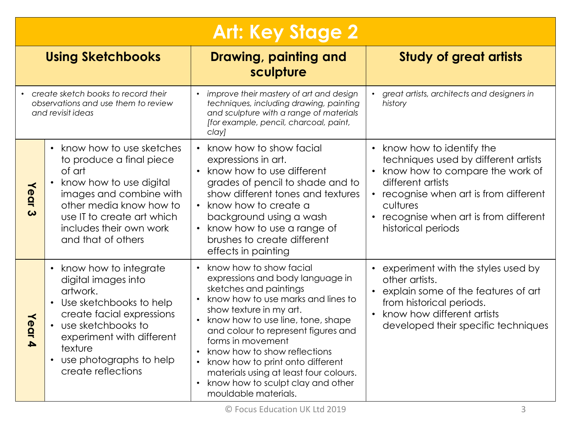| <b>Art: Key Stage 2</b>                                                                           |                                                                                                                                                                                                                                                                                                                                                                                                                                                                                                                                                  |                                                                                                                                                                                                                                                                                                                                                                                                                                    |                                                                                                                                                                                                                                                         |  |
|---------------------------------------------------------------------------------------------------|--------------------------------------------------------------------------------------------------------------------------------------------------------------------------------------------------------------------------------------------------------------------------------------------------------------------------------------------------------------------------------------------------------------------------------------------------------------------------------------------------------------------------------------------------|------------------------------------------------------------------------------------------------------------------------------------------------------------------------------------------------------------------------------------------------------------------------------------------------------------------------------------------------------------------------------------------------------------------------------------|---------------------------------------------------------------------------------------------------------------------------------------------------------------------------------------------------------------------------------------------------------|--|
| <b>Using Sketchbooks</b>                                                                          |                                                                                                                                                                                                                                                                                                                                                                                                                                                                                                                                                  | Drawing, painting and<br>sculpture                                                                                                                                                                                                                                                                                                                                                                                                 | <b>Study of great artists</b>                                                                                                                                                                                                                           |  |
| • create sketch books to record their<br>observations and use them to review<br>and revisit ideas |                                                                                                                                                                                                                                                                                                                                                                                                                                                                                                                                                  | improve their mastery of art and design<br>techniques, including drawing, painting<br>and sculpture with a range of materials<br>[for example, pencil, charcoal, paint,<br>clay]                                                                                                                                                                                                                                                   | great artists, architects and designers in<br>history                                                                                                                                                                                                   |  |
| Year<br>ω                                                                                         | know how to use sketches<br>• know how to show facial<br>to produce a final piece<br>expressions in art.<br>• know how to use different<br>of art<br>grades of pencil to shade and to<br>know how to use digital<br>show different tones and textures<br>images and combine with<br>other media know how to<br>• know how to create a<br>use IT to create art which<br>background using a wash<br>includes their own work<br>know how to use a range of<br>$\bullet$<br>brushes to create different<br>and that of others<br>effects in painting |                                                                                                                                                                                                                                                                                                                                                                                                                                    | know how to identify the<br>$\bullet$<br>techniques used by different artists<br>know how to compare the work of<br>different artists<br>recognise when art is from different<br>cultures<br>recognise when art is from different<br>historical periods |  |
| Year 4                                                                                            | know how to integrate<br>digital images into<br>artwork.<br>• Use sketchbooks to help<br>create facial expressions<br>• use sketchbooks to<br>experiment with different<br>texture<br>use photographs to help<br>create reflections                                                                                                                                                                                                                                                                                                              | know how to show facial<br>expressions and body language in<br>sketches and paintings<br>know how to use marks and lines to<br>show texture in my art.<br>know how to use line, tone, shape<br>and colour to represent figures and<br>forms in movement<br>know how to show reflections<br>know how to print onto different<br>materials using at least four colours.<br>know how to sculpt clay and other<br>mouldable materials. | experiment with the styles used by<br>other artists.<br>explain some of the features of art<br>$\bullet$<br>from historical periods.<br>know how different artists<br>$\bullet$<br>developed their specific techniques                                  |  |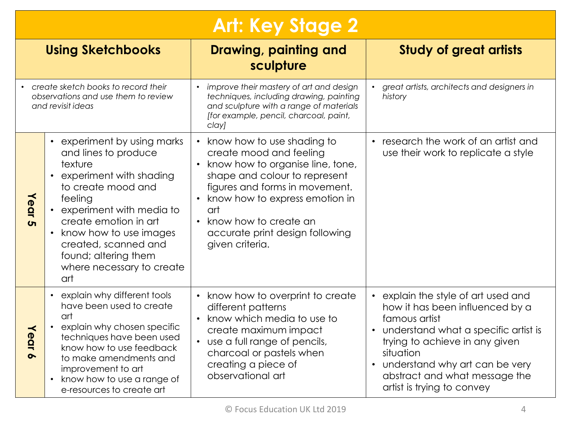|                                                                                                 | <b>Art: Key Stage 2</b>                                                                                                                                                                                                                                                                                                                                                                                                                                                                                                                                                                                         |                                                                                                                                                                                                                        |                                                                                                                                                                                                                                                                                            |  |
|-------------------------------------------------------------------------------------------------|-----------------------------------------------------------------------------------------------------------------------------------------------------------------------------------------------------------------------------------------------------------------------------------------------------------------------------------------------------------------------------------------------------------------------------------------------------------------------------------------------------------------------------------------------------------------------------------------------------------------|------------------------------------------------------------------------------------------------------------------------------------------------------------------------------------------------------------------------|--------------------------------------------------------------------------------------------------------------------------------------------------------------------------------------------------------------------------------------------------------------------------------------------|--|
| <b>Using Sketchbooks</b>                                                                        |                                                                                                                                                                                                                                                                                                                                                                                                                                                                                                                                                                                                                 | Drawing, painting and<br>sculpture                                                                                                                                                                                     | <b>Study of great artists</b>                                                                                                                                                                                                                                                              |  |
| create sketch books to record their<br>observations and use them to review<br>and revisit ideas |                                                                                                                                                                                                                                                                                                                                                                                                                                                                                                                                                                                                                 | • improve their mastery of art and design<br>techniques, including drawing, painting<br>and sculpture with a range of materials<br>[for example, pencil, charcoal, paint,<br>clay]                                     | great artists, architects and designers in<br>history                                                                                                                                                                                                                                      |  |
| Year 5                                                                                          | experiment by using marks<br>know how to use shading to<br>$\bullet$<br>and lines to produce<br>create mood and feeling<br>know how to organise line, tone,<br>texture<br>experiment with shading<br>shape and colour to represent<br>to create mood and<br>figures and forms in movement.<br>• know how to express emotion in<br>feeling<br>experiment with media to<br>art<br>create emotion in art<br>know how to create an<br>know how to use images<br>accurate print design following<br>$\bullet$<br>created, scanned and<br>given criteria.<br>found; altering them<br>where necessary to create<br>art |                                                                                                                                                                                                                        | research the work of an artist and<br>use their work to replicate a style                                                                                                                                                                                                                  |  |
| Year                                                                                            | explain why different tools<br>$\bullet$<br>have been used to create<br>art<br>explain why chosen specific<br>$\bullet$<br>techniques have been used<br>know how to use feedback<br>to make amendments and<br>improvement to art<br>know how to use a range of<br>$\bullet$<br>e-resources to create art                                                                                                                                                                                                                                                                                                        | know how to overprint to create<br>different patterns<br>know which media to use to<br>create maximum impact<br>• use a full range of pencils,<br>charcoal or pastels when<br>creating a piece of<br>observational art | explain the style of art used and<br>how it has been influenced by a<br>famous artist<br>understand what a specific artist is<br>trying to achieve in any given<br>situation<br>understand why art can be very<br>$\bullet$<br>abstract and what message the<br>artist is trying to convey |  |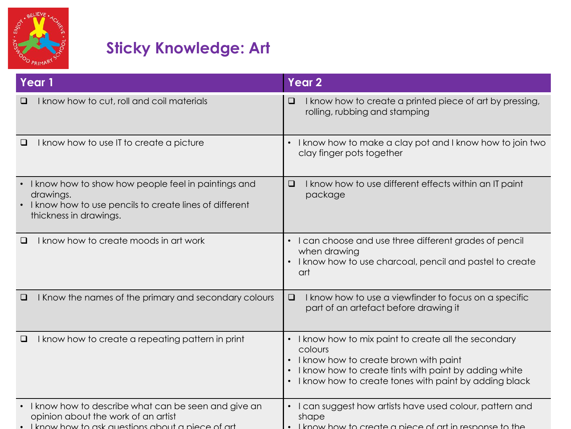

## **Sticky Knowledge: Art**

| Year 1                                                                                                                                               | <b>Year 2</b>                                                                                                                                                                                                               |
|------------------------------------------------------------------------------------------------------------------------------------------------------|-----------------------------------------------------------------------------------------------------------------------------------------------------------------------------------------------------------------------------|
| I know how to cut, roll and coil materials                                                                                                           | I know how to create a printed piece of art by pressing,<br>$\Box$<br>rolling, rubbing and stamping                                                                                                                         |
| I know how to use IT to create a picture<br>$\Box$                                                                                                   | I know how to make a clay pot and I know how to join two<br>$\bullet$<br>clay finger pots together                                                                                                                          |
| I know how to show how people feel in paintings and<br>drawings.<br>I know how to use pencils to create lines of different<br>thickness in drawings. | I know how to use different effects within an IT paint<br>$\Box$<br>package                                                                                                                                                 |
| I know how to create moods in art work<br>⊔                                                                                                          | • I can choose and use three different grades of pencil<br>when drawing<br>I know how to use charcoal, pencil and pastel to create<br>art                                                                                   |
| I Know the names of the primary and secondary colours                                                                                                | $\Box$<br>I know how to use a viewfinder to focus on a specific<br>part of an artefact before drawing it                                                                                                                    |
| I know how to create a repeating pattern in print<br>□                                                                                               | • I know how to mix paint to create all the secondary<br>colours<br>I know how to create brown with paint<br>I know how to create tints with paint by adding white<br>I know how to create tones with paint by adding black |
| I know how to describe what can be seen and give an<br>opinion about the work of an artist<br>. I know how to ask auestions about a piece of art     | I can suggest how artists have used colour, pattern and<br>shape<br>. I know how to create a piece of art in response to the                                                                                                |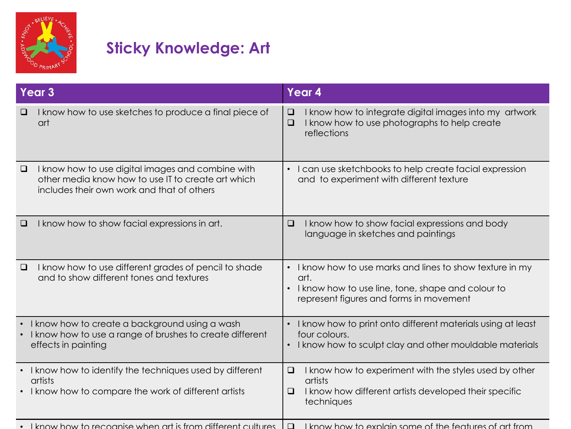

## **Sticky Knowledge: Art**

| I know how to use sketches to produce a final piece of<br>$\Box$<br>❏<br>I know how to use photographs to help create<br>art<br>$\Box$<br>reflections<br>I know how to use digital images and combine with<br>I can use sketchbooks to help create facial expression<br>$\Box$<br>other media know how to use IT to create art which<br>and to experiment with different texture<br>includes their own work and that of others<br>I know how to show facial expressions in art.<br>I know how to show facial expressions and body<br>$\Box$<br>$\Box$<br>language in sketches and paintings<br>I know how to use different grades of pencil to shade<br>I know how to use marks and lines to show texture in my<br>$\Box$<br>and to show different tones and textures<br>art.<br>I know how to use line, tone, shape and colour to<br>represent figures and forms in movement<br>I know how to create a background using a wash<br>I know how to print onto different materials using at least<br>I know how to use a range of brushes to create different<br>four colours.<br>I know how to sculpt clay and other mouldable materials<br>effects in painting<br>I know how to identify the techniques used by different<br>I know how to experiment with the styles used by other<br>$\Box$<br>$\bullet$<br>artists<br>artists<br>I know how to compare the work of different artists<br>I know how different artists developed their specific<br>❏ | Year 3 |  | Year 4 |                                                        |
|------------------------------------------------------------------------------------------------------------------------------------------------------------------------------------------------------------------------------------------------------------------------------------------------------------------------------------------------------------------------------------------------------------------------------------------------------------------------------------------------------------------------------------------------------------------------------------------------------------------------------------------------------------------------------------------------------------------------------------------------------------------------------------------------------------------------------------------------------------------------------------------------------------------------------------------------------------------------------------------------------------------------------------------------------------------------------------------------------------------------------------------------------------------------------------------------------------------------------------------------------------------------------------------------------------------------------------------------------------------------------------------------------------------------------------------------------|--------|--|--------|--------------------------------------------------------|
|                                                                                                                                                                                                                                                                                                                                                                                                                                                                                                                                                                                                                                                                                                                                                                                                                                                                                                                                                                                                                                                                                                                                                                                                                                                                                                                                                                                                                                                      |        |  |        | I know how to integrate digital images into my artwork |
|                                                                                                                                                                                                                                                                                                                                                                                                                                                                                                                                                                                                                                                                                                                                                                                                                                                                                                                                                                                                                                                                                                                                                                                                                                                                                                                                                                                                                                                      |        |  |        |                                                        |
|                                                                                                                                                                                                                                                                                                                                                                                                                                                                                                                                                                                                                                                                                                                                                                                                                                                                                                                                                                                                                                                                                                                                                                                                                                                                                                                                                                                                                                                      |        |  |        |                                                        |
|                                                                                                                                                                                                                                                                                                                                                                                                                                                                                                                                                                                                                                                                                                                                                                                                                                                                                                                                                                                                                                                                                                                                                                                                                                                                                                                                                                                                                                                      |        |  |        |                                                        |
|                                                                                                                                                                                                                                                                                                                                                                                                                                                                                                                                                                                                                                                                                                                                                                                                                                                                                                                                                                                                                                                                                                                                                                                                                                                                                                                                                                                                                                                      |        |  |        |                                                        |
| . I know how to recognise when art is from different cultures.<br>I know how to explain some of the features of art from<br>$\Box$                                                                                                                                                                                                                                                                                                                                                                                                                                                                                                                                                                                                                                                                                                                                                                                                                                                                                                                                                                                                                                                                                                                                                                                                                                                                                                                   |        |  |        | techniques                                             |